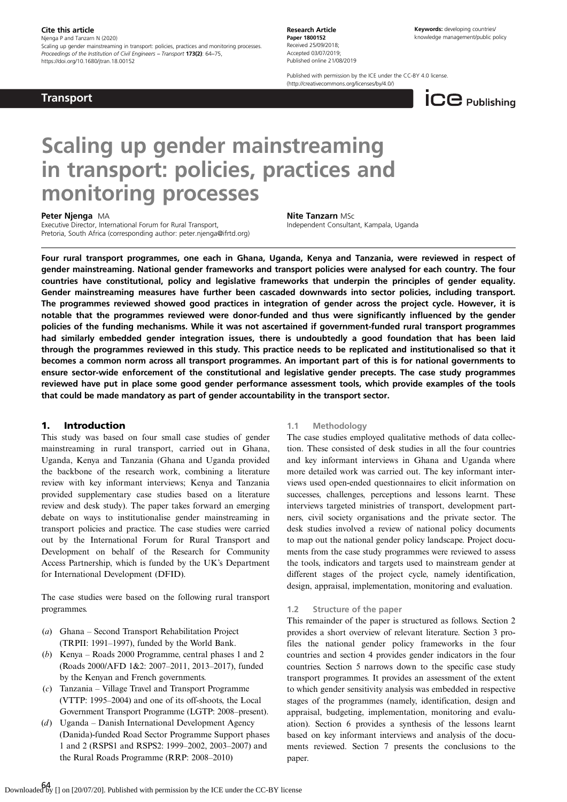#### Cite this article

Njenga P and Tanzarn N (2020)

Scaling up gender mainstreaming in transport: policies, practices and monitoring processes Proceedings of the Institution of Civil Engineers – Transport 173(2): 64–75, https://doi.org/10.1680/jtran.18.00152

**Transport** 

Research Article Paper 1800152 Received 25/09/2018; Accepted 03/07/2019; Published online 21/08/2019

Published with permission by the ICE under the CC-BY 4.0 license. (<http://creativecommons.org/licenses/by/4.0/>)



# Scaling up gender mainstreaming in transport: policies, practices and monitoring processes

#### Peter Njenga MA

Executive Director, International Forum for Rural Transport, Pretoria, South Africa (corresponding author: [peter.njenga@ifrtd.org](mailto:peter.njenga@ifrtd.org)) Nite Tanzarn MSc Independent Consultant, Kampala, Uganda

Four rural transport programmes, one each in Ghana, Uganda, Kenya and Tanzania, were reviewed in respect of gender mainstreaming. National gender frameworks and transport policies were analysed for each country. The four countries have constitutional, policy and legislative frameworks that underpin the principles of gender equality. Gender mainstreaming measures have further been cascaded downwards into sector policies, including transport. The programmes reviewed showed good practices in integration of gender across the project cycle. However, it is notable that the programmes reviewed were donor-funded and thus were significantly influenced by the gender policies of the funding mechanisms. While it was not ascertained if government-funded rural transport programmes had similarly embedded gender integration issues, there is undoubtedly a good foundation that has been laid through the programmes reviewed in this study. This practice needs to be replicated and institutionalised so that it becomes a common norm across all transport programmes. An important part of this is for national governments to ensure sector-wide enforcement of the constitutional and legislative gender precepts. The case study programmes reviewed have put in place some good gender performance assessment tools, which provide examples of the tools that could be made mandatory as part of gender accountability in the transport sector.

## 1. Introduction

This study was based on four small case studies of gender mainstreaming in rural transport, carried out in Ghana, Uganda, Kenya and Tanzania (Ghana and Uganda provided the backbone of the research work, combining a literature review with key informant interviews; Kenya and Tanzania provided supplementary case studies based on a literature review and desk study). The paper takes forward an emerging debate on ways to institutionalise gender mainstreaming in transport policies and practice. The case studies were carried out by the International Forum for Rural Transport and Development on behalf of the Research for Community Access Partnership, which is funded by the UK's Department for International Development (DFID).

The case studies were based on the following rural transport programmes.

- (a) Ghana Second Transport Rehabilitation Project (TRPII: 1991–1997), funded by the World Bank.
- (b) Kenya Roads 2000 Programme, central phases 1 and 2 (Roads 2000/AFD 1&2: 2007–2011, 2013–2017), funded by the Kenyan and French governments.
- (c) Tanzania Village Travel and Transport Programme (VTTP: 1995–2004) and one of its off-shoots, the Local Government Transport Programme (LGTP: 2008–present).
- (d) Uganda Danish International Development Agency (Danida)-funded Road Sector Programme Support phases 1 and 2 (RSPS1 and RSPS2: 1999–2002, 2003–2007) and the Rural Roads Programme (RRP: 2008–2010)

#### 1.1 Methodology

The case studies employed qualitative methods of data collection. These consisted of desk studies in all the four countries and key informant interviews in Ghana and Uganda where more detailed work was carried out. The key informant interviews used open-ended questionnaires to elicit information on successes, challenges, perceptions and lessons learnt. These interviews targeted ministries of transport, development partners, civil society organisations and the private sector. The desk studies involved a review of national policy documents to map out the national gender policy landscape. Project documents from the case study programmes were reviewed to assess the tools, indicators and targets used to mainstream gender at different stages of the project cycle, namely identification, design, appraisal, implementation, monitoring and evaluation.

#### 1.2 Structure of the paper

This remainder of the paper is structured as follows. Section 2 provides a short overview of relevant literature. Section 3 profiles the national gender policy frameworks in the four countries and section 4 provides gender indicators in the four countries. Section 5 narrows down to the specific case study transport programmes. It provides an assessment of the extent to which gender sensitivity analysis was embedded in respective stages of the programmes (namely, identification, design and appraisal, budgeting, implementation, monitoring and evaluation). Section 6 provides a synthesis of the lessons learnt based on key informant interviews and analysis of the documents reviewed. Section 7 presents the conclusions to the paper.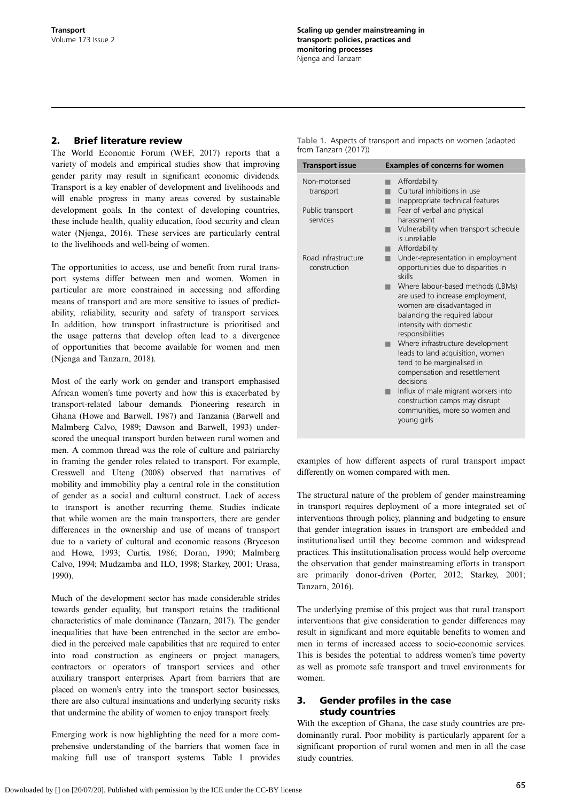## 2. Brief literature review

The World Economic Forum [\(WEF, 2017\)](#page-11-0) reports that a variety of models and empirical studies show that improving gender parity may result in significant economic dividends. Transport is a key enabler of development and livelihoods and will enable progress in many areas covered by sustainable development goals. In the context of developing countries, these include health, quality education, food security and clean water ([Njenga, 2016](#page-10-0)). These services are particularly central to the livelihoods and well-being of women.

The opportunities to access, use and benefit from rural transport systems differ between men and women. Women in particular are more constrained in accessing and affording means of transport and are more sensitive to issues of predictability, reliability, security and safety of transport services. In addition, how transport infrastructure is prioritised and the usage patterns that develop often lead to a divergence of opportunities that become available for women and men ([Njenga and Tanzarn, 2018](#page-10-0)).

Most of the early work on gender and transport emphasised African women's time poverty and how this is exacerbated by transport-related labour demands. Pioneering research in Ghana [\(Howe and Barwell, 1987](#page-10-0)) and Tanzania [\(Barwell and](#page-10-0) [Malmberg Calvo, 1989; Dawson and Barwell, 1993\)](#page-10-0) underscored the unequal transport burden between rural women and men. A common thread was the role of culture and patriarchy in framing the gender roles related to transport. For example, [Cresswell and Uteng \(2008\)](#page-10-0) observed that narratives of mobility and immobility play a central role in the constitution of gender as a social and cultural construct. Lack of access to transport is another recurring theme. Studies indicate that while women are the main transporters, there are gender differences in the ownership and use of means of transport due to a variety of cultural and economic reasons [\(Bryceson](#page-10-0) [and Howe, 1993; Curtis, 1986; Doran, 1990; Malmberg](#page-10-0) [Calvo, 1994](#page-10-0); [Mudzamba and ILO, 1998](#page-10-0); [Starkey, 2001](#page-11-0); [Urasa,](#page-11-0) [1990\)](#page-11-0).

Much of the development sector has made considerable strides towards gender equality, but transport retains the traditional characteristics of male dominance ([Tanzarn, 2017](#page-11-0)). The gender inequalities that have been entrenched in the sector are embodied in the perceived male capabilities that are required to enter into road construction as engineers or project managers, contractors or operators of transport services and other auxiliary transport enterprises. Apart from barriers that are placed on women's entry into the transport sector businesses, there are also cultural insinuations and underlying security risks that undermine the ability of women to enjoy transport freely.

Emerging work is now highlighting the need for a more comprehensive understanding of the barriers that women face in making full use of transport systems. Table 1 provides

| Table 1. Aspects of transport and impacts on women (adapted |
|-------------------------------------------------------------|
| from Tanzarn (2017))                                        |

| <b>Transport issue</b>              | <b>Examples of concerns for women</b>                                                                                                                                               |
|-------------------------------------|-------------------------------------------------------------------------------------------------------------------------------------------------------------------------------------|
| Non-motorised<br>transport          | Affordability<br>Cultural inhibitions in use<br>Inappropriate technical features                                                                                                    |
| Public transport<br>services        | Fear of verbal and physical<br>harassment<br>Vulnerability when transport schedule<br>is unreliable<br>Affordability                                                                |
| Road infrastructure<br>construction | Under-representation in employment<br>opportunities due to disparities in<br>skills                                                                                                 |
|                                     | Where labour-based methods (LBMs)<br>are used to increase employment,<br>women are disadvantaged in<br>balancing the required labour<br>intensity with domestic<br>responsibilities |
|                                     | Where infrastructure development<br>leads to land acquisition, women<br>tend to be marginalised in<br>compensation and resettlement<br>decisions                                    |
|                                     | Influx of male migrant workers into<br>construction camps may disrupt<br>communities, more so women and<br>young girls                                                              |

examples of how different aspects of rural transport impact differently on women compared with men.

The structural nature of the problem of gender mainstreaming in transport requires deployment of a more integrated set of interventions through policy, planning and budgeting to ensure that gender integration issues in transport are embedded and institutionalised until they become common and widespread practices. This institutionalisation process would help overcome the observation that gender mainstreaming efforts in transport are primarily donor-driven ([Porter, 2012](#page-10-0); [Starkey, 2001](#page-11-0); [Tanzarn, 2016](#page-11-0)).

The underlying premise of this project was that rural transport interventions that give consideration to gender differences may result in significant and more equitable benefits to women and men in terms of increased access to socio-economic services. This is besides the potential to address women's time poverty as well as promote safe transport and travel environments for women.

## 3. Gender profiles in the case study countries

With the exception of Ghana, the case study countries are predominantly rural. Poor mobility is particularly apparent for a significant proportion of rural women and men in all the case study countries.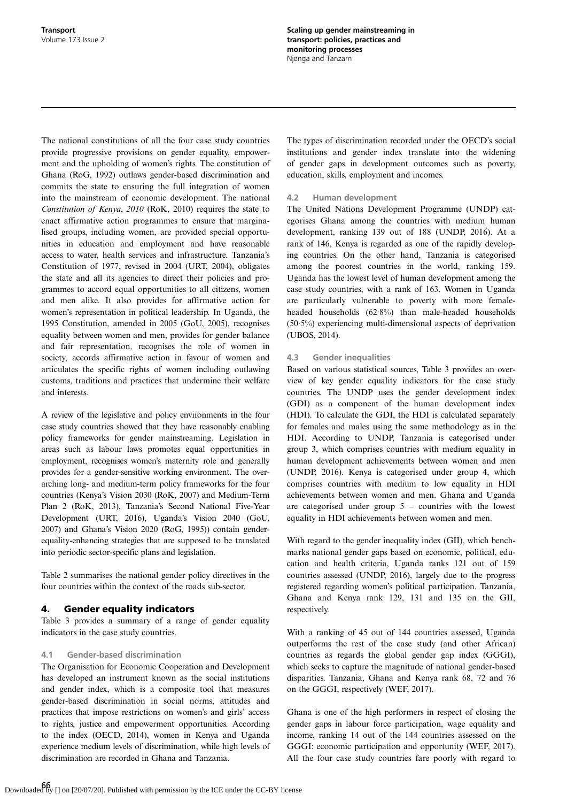The national constitutions of all the four case study countries provide progressive provisions on gender equality, empowerment and the upholding of women's rights. The constitution of Ghana [\(RoG, 1992](#page-11-0)) outlaws gender-based discrimination and commits the state to ensuring the full integration of women into the mainstream of economic development. The national Constitution of Kenya, 2010 ([RoK, 2010\)](#page-11-0) requires the state to enact affirmative action programmes to ensure that marginalised groups, including women, are provided special opportunities in education and employment and have reasonable access to water, health services and infrastructure. Tanzania's Constitution of 1977, revised in 2004 ([URT, 2004\)](#page-11-0), obligates the state and all its agencies to direct their policies and programmes to accord equal opportunities to all citizens, women and men alike. It also provides for affirmative action for women's representation in political leadership. In Uganda, the 1995 Constitution, amended in 2005 ([GoU, 2005](#page-10-0)), recognises equality between women and men, provides for gender balance and fair representation, recognises the role of women in society, accords affirmative action in favour of women and articulates the specific rights of women including outlawing customs, traditions and practices that undermine their welfare and interests.

A review of the legislative and policy environments in the four case study countries showed that they have reasonably enabling policy frameworks for gender mainstreaming. Legislation in areas such as labour laws promotes equal opportunities in employment, recognises women's maternity role and generally provides for a gender-sensitive working environment. The overarching long- and medium-term policy frameworks for the four countries (Kenya's Vision 2030 [\(RoK, 2007](#page-11-0)) and Medium-Term Plan 2 [\(RoK, 2013\)](#page-11-0), Tanzania's Second National Five-Year Development [\(URT, 2016\)](#page-11-0), Uganda's Vision 2040 [\(GoU,](#page-10-0) [2007](#page-10-0)) and Ghana's Vision 2020 ([RoG, 1995](#page-11-0))) contain genderequality-enhancing strategies that are supposed to be translated into periodic sector-specific plans and legislation.

[Table 2](#page-3-0) summarises the national gender policy directives in the four countries within the context of the roads sub-sector.

## 4. Gender equality indicators

[Table 3](#page-5-0) provides a summary of a range of gender equality indicators in the case study countries.

## 4.1 Gender-based discrimination

The Organisation for Economic Cooperation and Development has developed an instrument known as the social institutions and gender index, which is a composite tool that measures gender-based discrimination in social norms, attitudes and practices that impose restrictions on women's and girls' access to rights, justice and empowerment opportunities. According to the index [\(OECD, 2014](#page-10-0)), women in Kenya and Uganda experience medium levels of discrimination, while high levels of discrimination are recorded in Ghana and Tanzania.

The types of discrimination recorded under the OECD's social institutions and gender index translate into the widening of gender gaps in development outcomes such as poverty, education, skills, employment and incomes.

## 4.2 Human development

The United Nations Development Programme (UNDP) categorises Ghana among the countries with medium human development, ranking 139 out of 188 ([UNDP, 2016\)](#page-11-0). At a rank of 146, Kenya is regarded as one of the rapidly developing countries. On the other hand, Tanzania is categorised among the poorest countries in the world, ranking 159. Uganda has the lowest level of human development among the case study countries, with a rank of 163. Women in Uganda are particularly vulnerable to poverty with more femaleheaded households (62·8%) than male-headed households (50·5%) experiencing multi-dimensional aspects of deprivation [\(UBOS, 2014](#page-11-0)).

## 4.3 Gender inequalities

Based on various statistical sources, [Table 3](#page-5-0) provides an overview of key gender equality indicators for the case study countries. The UNDP uses the gender development index (GDI) as a component of the human development index (HDI). To calculate the GDI, the HDI is calculated separately for females and males using the same methodology as in the HDI. According to [UNDP,](#page-11-0) Tanzania is categorised under group 3, which comprises countries with medium equality in human development achievements between women and men [\(UNDP, 2016\)](#page-11-0). Kenya is categorised under group 4, which comprises countries with medium to low equality in HDI achievements between women and men. Ghana and Uganda are categorised under group  $5$  – countries with the lowest equality in HDI achievements between women and men.

With regard to the gender inequality index (GII), which benchmarks national gender gaps based on economic, political, education and health criteria, Uganda ranks 121 out of 159 countries assessed [\(UNDP, 2016\)](#page-11-0), largely due to the progress registered regarding women's political participation. Tanzania, Ghana and Kenya rank 129, 131 and 135 on the GII, respectively.

With a ranking of 45 out of 144 countries assessed, Uganda outperforms the rest of the case study (and other African) countries as regards the global gender gap index (GGGI), which seeks to capture the magnitude of national gender-based disparities. Tanzania, Ghana and Kenya rank 68, 72 and 76 on the GGGI, respectively ([WEF, 2017](#page-11-0)).

Ghana is one of the high performers in respect of closing the gender gaps in labour force participation, wage equality and income, ranking 14 out of the 144 countries assessed on the GGGI: economic participation and opportunity ([WEF, 2017](#page-11-0)). All the four case study countries fare poorly with regard to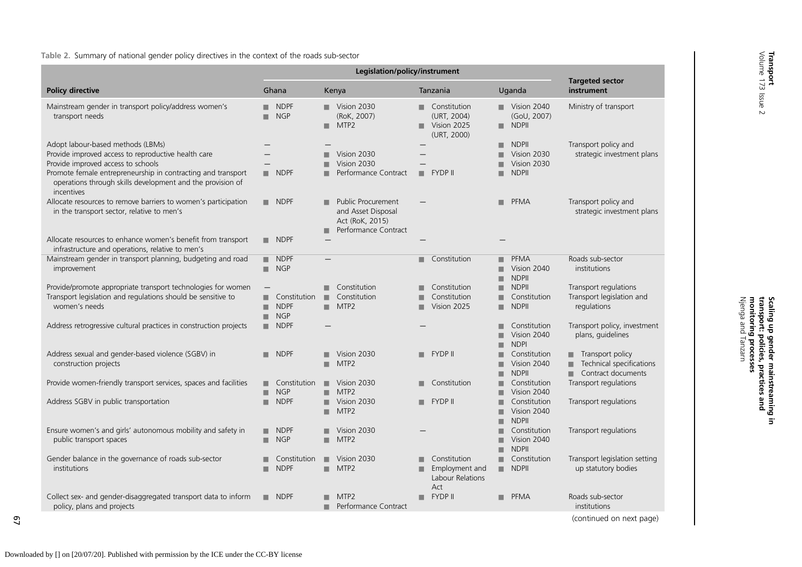<span id="page-3-0"></span>Table 2. Summary of national gender policy directives in the context of the roads sub-sector

| <b>Policy directive</b>                                                                                                                                                                                                                                                    | Ghana                                     | Kenya                                                                                                | Tanzania                                                            | Uganda                                                               | <b>Targeted sector</b><br>instrument                               |
|----------------------------------------------------------------------------------------------------------------------------------------------------------------------------------------------------------------------------------------------------------------------------|-------------------------------------------|------------------------------------------------------------------------------------------------------|---------------------------------------------------------------------|----------------------------------------------------------------------|--------------------------------------------------------------------|
| Mainstream gender in transport policy/address women's<br>transport needs                                                                                                                                                                                                   | <b>NDPF</b><br><b>NGP</b>                 | Vision 2030<br>(RoK, 2007)<br>MTP <sub>2</sub><br>▬                                                  | Constitution<br>٠<br>(URT, 2004)<br>Vision 2025<br>٠<br>(URT, 2000) | $\blacksquare$ Vision 2040<br>(GoU, 2007)<br><b>NDPII</b><br>٠       | Ministry of transport                                              |
| Adopt labour-based methods (LBMs)<br>Provide improved access to reproductive health care<br>Provide improved access to schools<br>Promote female entrepreneurship in contracting and transport<br>operations through skills development and the provision of<br>incentives | $\blacksquare$ NDPF                       | Vision 2030<br>Vision 2030<br>Performance Contract                                                   | <b>FYDP II</b><br>٠                                                 | <b>NDPII</b><br>■<br>Vision 2030<br>Vision 2030<br><b>NDPII</b><br>■ | Transport policy and<br>strategic investment plans                 |
| Allocate resources to remove barriers to women's participation<br>in the transport sector, relative to men's                                                                                                                                                               | $\blacksquare$ NDPF                       | <b>Public Procurement</b><br>▬<br>and Asset Disposal<br>Act (RoK, 2015)<br>Performance Contract<br>٠ |                                                                     | PFMA<br>٠                                                            | Transport policy and<br>strategic investment plans                 |
| Allocate resources to enhance women's benefit from transport<br>infrastructure and operations, relative to men's                                                                                                                                                           | $\blacksquare$ NDPF                       |                                                                                                      |                                                                     |                                                                      |                                                                    |
| Mainstream gender in transport planning, budgeting and road<br>improvement                                                                                                                                                                                                 | <b>NDPF</b><br><b>NGP</b><br>٠            |                                                                                                      | Constitution                                                        | <b>PFMA</b><br>■<br>Vision 2040<br>ш<br><b>NDPII</b><br>■            | Roads sub-sector<br>institutions                                   |
| Provide/promote appropriate transport technologies for women<br>Transport legislation and regulations should be sensitive to<br>women's needs                                                                                                                              | Constitution<br><b>NDPF</b><br><b>NGP</b> | Constitution<br>٠<br>Constitution<br>MTP <sub>2</sub><br>٠                                           | Constitution<br>Constitution<br>■<br>Vision 2025<br>٠               | <b>NDPII</b><br>■<br>Constitution<br>٠<br><b>NDPII</b><br>٠          | Transport regulations<br>Transport legislation and<br>regulations  |
| Address retrogressive cultural practices in construction projects                                                                                                                                                                                                          | <b>NDPF</b>                               |                                                                                                      |                                                                     | Constitution<br>■<br>Vision 2040<br>г<br><b>NDPI</b>                 | Transport policy, investment<br>plans, quidelines                  |
| Address sexual and gender-based violence (SGBV) in<br>construction projects                                                                                                                                                                                                | <b>NDPF</b>                               | Vision 2030<br>MTP <sub>2</sub><br>٠                                                                 | <b>FYDP II</b><br>٠                                                 | Constitution<br>■<br>Vision 2040<br>ш<br><b>NDPII</b>                | Transport policy<br>Technical specifications<br>Contract documents |
| Provide women-friendly transport services, spaces and facilities                                                                                                                                                                                                           | Constitution<br><b>NGP</b><br>▬           | Vision 2030<br>ш<br>MTP <sub>2</sub><br>■                                                            | Constitution<br>٠                                                   | Constitution<br>■<br>Vision 2040                                     | Transport regulations                                              |
| Address SGBV in public transportation                                                                                                                                                                                                                                      | <b>NDPF</b><br>■                          | Vision 2030<br>MTP <sub>2</sub><br>■                                                                 | <b>FYDP II</b><br>٠                                                 | Constitution<br>Vision 2040<br>٠<br><b>NDPII</b><br>ш                | Transport regulations                                              |
| Ensure women's and girls' autonomous mobility and safety in<br>public transport spaces                                                                                                                                                                                     | <b>NDPF</b><br>٠<br><b>NGP</b><br>٠       | Vision 2030<br>MTP <sub>2</sub><br>ш                                                                 |                                                                     | Constitution<br>п<br>Vision 2040<br>■<br><b>NDPII</b><br>■           | Transport regulations                                              |
| Gender balance in the governance of roads sub-sector<br>institutions                                                                                                                                                                                                       | Constitution<br><b>NDPF</b>               | Vision 2030<br>ш.<br>MTP <sub>2</sub><br>٠                                                           | Constitution<br>Employment and<br>■<br>Labour Relations<br>Act      | Constitution<br>٠<br><b>NDPII</b><br>ш.                              | Transport legislation setting<br>up statutory bodies               |
| Collect sex- and gender-disaggregated transport data to inform<br>policy, plans and projects                                                                                                                                                                               | <b>NDPF</b><br>ш.                         | MTP <sub>2</sub><br>Performance Contract<br>■                                                        | <b>FYDP II</b><br>٠                                                 | <b>PFMA</b>                                                          | Roads sub-sector<br>institutions                                   |
|                                                                                                                                                                                                                                                                            |                                           |                                                                                                      |                                                                     |                                                                      |                                                                    |

67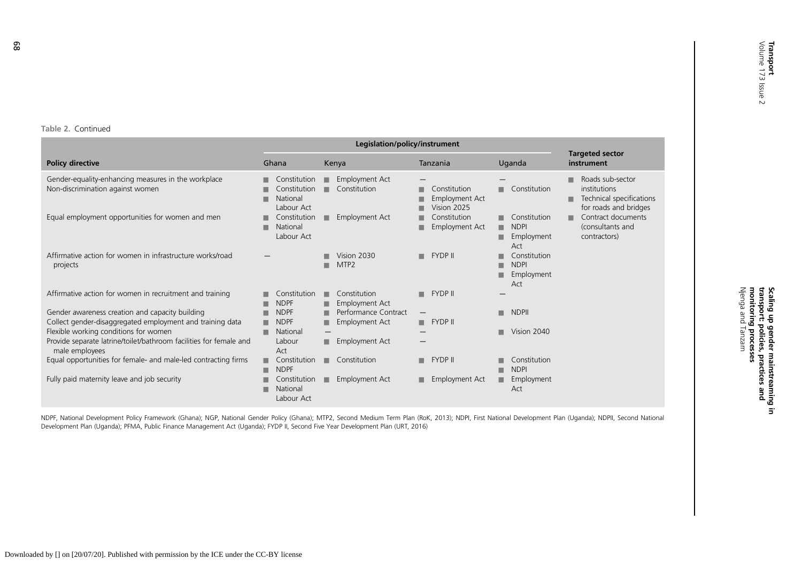#### Table 2. Continued

|                                                                                         |                                                             | <b>Targeted sector</b>                          |                                                           |                                                                 |                                                                                                 |
|-----------------------------------------------------------------------------------------|-------------------------------------------------------------|-------------------------------------------------|-----------------------------------------------------------|-----------------------------------------------------------------|-------------------------------------------------------------------------------------------------|
| <b>Policy directive</b>                                                                 | Ghana                                                       | Kenya                                           | Tanzania                                                  | Uganda                                                          | instrument                                                                                      |
| Gender-equality-enhancing measures in the workplace<br>Non-discrimination against women | Constitution<br>٠<br>Constitution<br>National<br>Labour Act | <b>Employment Act</b><br>ш<br>Constitution      | Constitution<br>×<br><b>Employment Act</b><br>Vision 2025 | Constitution<br>٠                                               | Roads sub-sector<br>п<br>institutions<br>Technical specifications<br>п<br>for roads and bridges |
| Equal employment opportunities for women and men                                        | Constitution<br>National<br>Labour Act                      | Employment Act<br>٠                             | Constitution<br><b>Employment Act</b><br>п                | Constitution<br>٠<br><b>NDPI</b><br>٠<br>Employment<br>■<br>Act | Contract documents<br>ш<br>(consultants and<br>contractors)                                     |
| Affirmative action for women in infrastructure works/road<br>projects                   |                                                             | Vision 2030<br>MTP <sub>2</sub>                 | <b>FYDP II</b><br>٠                                       | Constitution<br><b>NDPI</b><br>Employment<br>■<br>Act           |                                                                                                 |
| Affirmative action for women in recruitment and training                                | Constitution<br><b>NDPF</b>                                 | Constitution<br>٠<br><b>Employment Act</b><br>٠ | <b>FYDP II</b><br>ш                                       |                                                                 |                                                                                                 |
| Gender awareness creation and capacity building                                         | <b>NDPF</b>                                                 | Performance Contract                            |                                                           | <b>NDPII</b><br>٠                                               |                                                                                                 |
| Collect gender-disaggregated employment and training data                               | <b>NDPF</b><br>■                                            | Employment Act<br>■                             | <b>FYDP II</b><br>■                                       |                                                                 |                                                                                                 |
| Flexible working conditions for women                                                   | National                                                    | $\overline{\phantom{m}}$                        |                                                           | Vision 2040<br>٠                                                |                                                                                                 |
| Provide separate latrine/toilet/bathroom facilities for female and<br>male employees    | Labour<br>Act                                               | Employment Act<br>٠                             |                                                           |                                                                 |                                                                                                 |
| Equal opportunities for female- and male-led contracting firms                          | Constitution<br>٠<br><b>NDPF</b>                            | Constitution<br>ш                               | <b>FYDP II</b><br>ш                                       | Constitution<br><b>NDPI</b>                                     |                                                                                                 |
| Fully paid maternity leave and job security                                             | Constitution<br>National<br>Labour Act                      | <b>Employment Act</b><br>٠                      | <b>Employment Act</b><br>٠                                | Employment<br>٠<br>Act                                          |                                                                                                 |

NDPF, National Development Policy Framework (Ghana); NGP, National Gender Policy (Ghana); MTP2, Second Medium Term Plan (RoK, [2013](#page-11-0)); NDPI, First National Development Plan (Uganda); NDPII, Second National Development Plan (Uganda); PFMA, Public Finance Management Act (Uganda); FYDP II, Second Five Year Development Plan (URT, [2016](#page-11-0))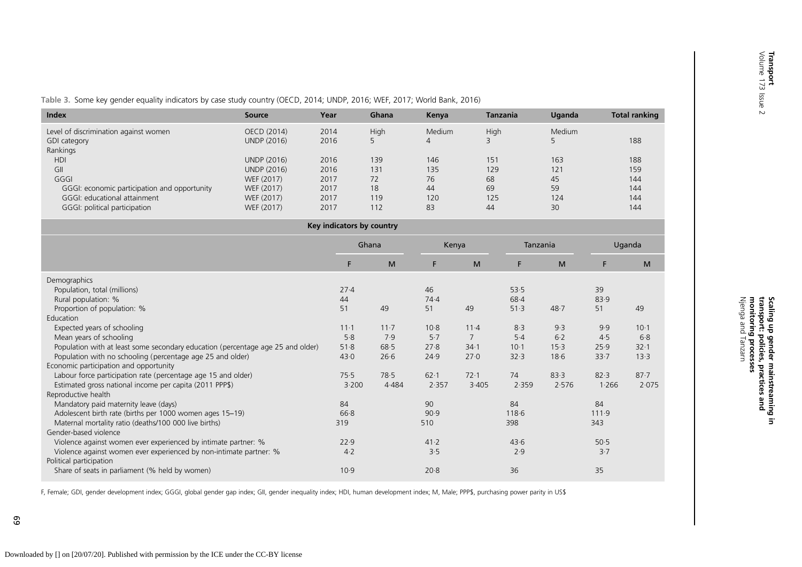Njenga and Tanzarn monitoring processes transport: policies, practices and Scaling up gender mainstreaming in

Scaling up gender mainstreaming in<br>transport: policies, practices and<br>monitoring processes<br>Njenga and Tanzarn

<span id="page-5-0"></span>Table 3. Some key gender equality indicators by case study country ([OECD,](#page-10-0) 2014; [UNDP,](#page-11-0) 2016; WEF, [2017](#page-11-0); World [Bank,](#page-11-0) 2016)

| <b>Index</b>                                 | <b>Source</b>      | Year | Ghana | Kenya  | <b>Tanzania</b> | Uganda | <b>Total ranking</b> |
|----------------------------------------------|--------------------|------|-------|--------|-----------------|--------|----------------------|
| Level of discrimination against women        | OECD (2014)        | 2014 | High  | Medium | <b>High</b>     | Medium |                      |
| GDI category                                 | UNDP (2016)        | 2016 |       | 4      |                 |        | 188                  |
| Rankings                                     |                    |      |       |        |                 |        |                      |
| <b>HDI</b>                                   | <b>UNDP (2016)</b> | 2016 | 139   | 146    | 151             | 163    | 188                  |
| GII                                          | <b>UNDP (2016)</b> | 2016 | 131   | 135    | 129             | 121    | 159                  |
| GGGI                                         | WEF (2017)         | 2017 | 72    | 76     | 68              | 45     | 144                  |
| GGGI: economic participation and opportunity | WEF (2017)         | 2017 | 18    | 44     | 69              | 59     | 144                  |
| GGGI: educational attainment                 | WEF (2017)         | 2017 | 119   | 120    | 125             | 124    | 144                  |
| GGGI: political participation                | WEF (2017)         | 2017 | 112   | 83     | 44              | 30     | 144                  |
|                                              |                    |      |       |        |                 |        |                      |

| Key indicators by country                                                       |          |          |          |                |          |       |       |          |  |  |  |  |
|---------------------------------------------------------------------------------|----------|----------|----------|----------------|----------|-------|-------|----------|--|--|--|--|
|                                                                                 | Ghana    |          | Kenya    |                | Tanzania |       |       | Uganda   |  |  |  |  |
|                                                                                 | F.       | M        | F.       | M              | F        | M     | F.    | M        |  |  |  |  |
| Demographics                                                                    |          |          |          |                |          |       |       |          |  |  |  |  |
| Population, total (millions)                                                    | 27.4     |          | 46       |                | 53.5     |       | 39    |          |  |  |  |  |
| Rural population: %                                                             | 44       |          | 74.4     |                | 68.4     |       | 83.9  |          |  |  |  |  |
| Proportion of population: %                                                     | 51       | 49       | 51       | 49             | 51.3     | 48.7  | 51    | 49       |  |  |  |  |
| Education                                                                       |          |          |          |                |          |       |       |          |  |  |  |  |
| Expected years of schooling                                                     | $11 - 1$ | $11 - 7$ | $10-8$   | $11-4$         | 8.3      | 9.3   | 9.9   | $10-1$   |  |  |  |  |
| Mean years of schooling                                                         | 5.8      | 7.9      | 5.7      | $\overline{7}$ | $5-4$    | $6-2$ | 4.5   | 6.8      |  |  |  |  |
| Population with at least some secondary education (percentage age 25 and older) | 51.8     | 68.5     | 27.8     | $34-1$         | $10 - 1$ | 15.3  | 25.9  | $32 - 1$ |  |  |  |  |
| Population with no schooling (percentage age 25 and older)                      | 43.0     | 26.6     | 24.9     | 27.0           | 32.3     | 18.6  | 33.7  | 13.3     |  |  |  |  |
| Economic participation and opportunity                                          |          |          |          |                |          |       |       |          |  |  |  |  |
| Labour force participation rate (percentage age 15 and older)                   | 75.5     | 78.5     | $62 - 1$ | 72.1           | 74       | 83.3  | 82.3  | $87 - 7$ |  |  |  |  |
| Estimated gross national income per capita (2011 PPP\$)                         | 3.200    | 4.484    | 2.357    | 3.405          | 2.359    | 2.576 | 1.266 | 2.075    |  |  |  |  |
| Reproductive health                                                             |          |          |          |                |          |       |       |          |  |  |  |  |
| Mandatory paid maternity leave (days)                                           | 84       |          | 90       |                | 84       |       | 84    |          |  |  |  |  |
| Adolescent birth rate (births per 1000 women ages 15-19)                        | 66.8     |          | 90.9     |                | 118.6    |       | 111.9 |          |  |  |  |  |
| Maternal mortality ratio (deaths/100 000 live births)                           | 319      |          | 510      |                | 398      |       | 343   |          |  |  |  |  |
| Gender-based violence                                                           |          |          |          |                |          |       |       |          |  |  |  |  |
| Violence against women ever experienced by intimate partner: %                  | 22.9     |          | 41.2     |                | 43.6     |       | 50.5  |          |  |  |  |  |
| Violence against women ever experienced by non-intimate partner: %              | $4-2$    |          | 3.5      |                | 2.9      |       | 3.7   |          |  |  |  |  |
| Political participation                                                         |          |          |          |                |          |       |       |          |  |  |  |  |
| Share of seats in parliament (% held by women)                                  | 10.9     |          | 20.8     |                | 36       |       | 35    |          |  |  |  |  |

F, Female; GDI, gender development index; GGGI, global gender gap index; GII, gender inequality index; HDI, human development index; M, Male; PPP\$, purchasing power parity in US\$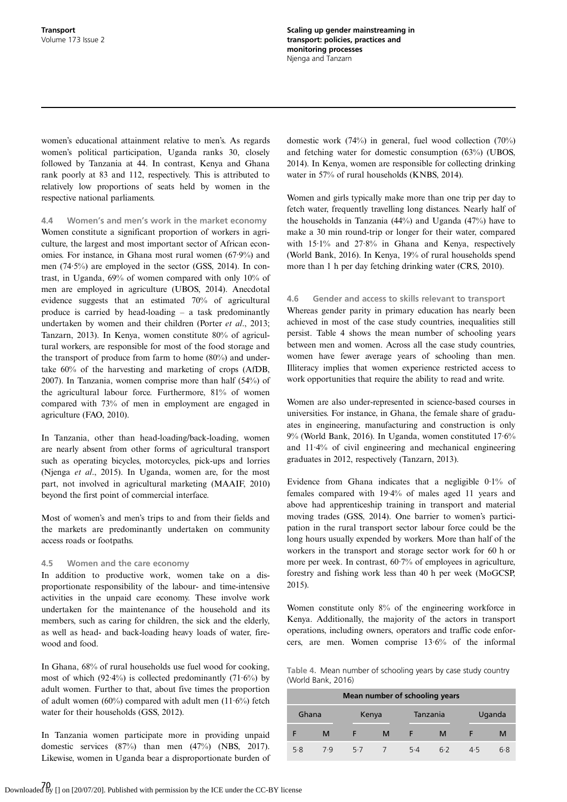women's educational attainment relative to men's. As regards women's political participation, Uganda ranks 30, closely followed by Tanzania at 44. In contrast, Kenya and Ghana rank poorly at 83 and 112, respectively. This is attributed to relatively low proportions of seats held by women in the respective national parliaments.

4.4 Women's and men's work in the market economy Women constitute a significant proportion of workers in agriculture, the largest and most important sector of African economies. For instance, in Ghana most rural women (67·9%) and men (74·5%) are employed in the sector [\(GSS, 2014](#page-10-0)). In contrast, in Uganda, 69% of women compared with only 10% of men are employed in agriculture [\(UBOS, 2014\)](#page-11-0). Anecdotal evidence suggests that an estimated 70% of agricultural produce is carried by head-loading – a task predominantly undertaken by women and their children (Porter et al[., 2013;](#page-10-0) [Tanzarn, 2013\)](#page-11-0). In Kenya, women constitute 80% of agricultural workers, are responsible for most of the food storage and the transport of produce from farm to home (80%) and undertake 60% of the harvesting and marketing of crops ([AfDB,](#page-10-0) [2007](#page-10-0)). In Tanzania, women comprise more than half (54%) of the agricultural labour force. Furthermore, 81% of women compared with 73% of men in employment are engaged in agriculture ([FAO, 2010](#page-10-0)).

In Tanzania, other than head-loading/back-loading, women are nearly absent from other forms of agricultural transport such as operating bicycles, motorcycles, pick-ups and lorries [\(Njenga](#page-10-0) et al., 2015). In Uganda, women are, for the most part, not involved in agricultural marketing ([MAAIF, 2010](#page-10-0)) beyond the first point of commercial interface.

Most of women's and men's trips to and from their fields and the markets are predominantly undertaken on community access roads or footpaths.

#### 4.5 Women and the care economy

In addition to productive work, women take on a disproportionate responsibility of the labour- and time-intensive activities in the unpaid care economy. These involve work undertaken for the maintenance of the household and its members, such as caring for children, the sick and the elderly, as well as head- and back-loading heavy loads of water, firewood and food.

In Ghana, 68% of rural households use fuel wood for cooking, most of which  $(92.4\%)$  is collected predominantly  $(71.6\%)$  by adult women. Further to that, about five times the proportion of adult women (60%) compared with adult men (11 $\cdot$ 6%) fetch water for their households [\(GSS, 2012](#page-10-0)).

In Tanzania women participate more in providing unpaid domestic services (87%) than men (47%) [\(NBS, 2017](#page-10-0)). Likewise, women in Uganda bear a disproportionate burden of

domestic work (74%) in general, fuel wood collection (70%) and fetching water for domestic consumption (63%) [\(UBOS,](#page-11-0) [2014](#page-11-0)). In Kenya, women are responsible for collecting drinking water in 57% of rural households [\(KNBS, 2014\)](#page-10-0).

Women and girls typically make more than one trip per day to fetch water, frequently travelling long distances. Nearly half of the households in Tanzania (44%) and Uganda (47%) have to make a 30 min round-trip or longer for their water, compared with 15·1% and 27·8% in Ghana and Kenya, respectively [\(World Bank, 2016\)](#page-11-0). In Kenya, 19% of rural households spend more than 1 h per day fetching drinking water [\(CRS, 2010](#page-10-0)).

4.6 Gender and access to skills relevant to transport Whereas gender parity in primary education has nearly been achieved in most of the case study countries, inequalities still persist. Table 4 shows the mean number of schooling years between men and women. Across all the case study countries, women have fewer average years of schooling than men. Illiteracy implies that women experience restricted access to

work opportunities that require the ability to read and write.

Women are also under-represented in science-based courses in universities. For instance, in Ghana, the female share of graduates in engineering, manufacturing and construction is only 9% ([World Bank, 2016](#page-11-0)). In Uganda, women constituted 17·6% and 11·4% of civil engineering and mechanical engineering graduates in 2012, respectively [\(Tanzarn, 2013\)](#page-11-0).

Evidence from Ghana indicates that a negligible 0·1% of females compared with 19·4% of males aged 11 years and above had apprenticeship training in transport and material moving trades ([GSS, 2014\)](#page-10-0). One barrier to women's participation in the rural transport sector labour force could be the long hours usually expended by workers. More than half of the workers in the transport and storage sector work for 60 h or more per week. In contrast, 60·7% of employees in agriculture, forestry and fishing work less than 40 h per week [\(MoGCSP,](#page-10-0) [2015](#page-10-0)).

Women constitute only 8% of the engineering workforce in Kenya. Additionally, the majority of the actors in transport operations, including owners, operators and traffic code enforcers, are men. Women comprise 13·6% of the informal

Table 4. Mean number of schooling years by case study country ([World Bank, 2016](#page-11-0))

| Mean number of schooling years |     |       |   |     |          |        |     |  |  |
|--------------------------------|-----|-------|---|-----|----------|--------|-----|--|--|
| Ghana                          |     | Kenya |   |     | Tanzania | Uganda |     |  |  |
|                                | M   |       | м |     | M        |        | M   |  |  |
| 5.8                            | 7.9 | 5.7   |   | 5.4 | 6.7      | 4.5    | 6.8 |  |  |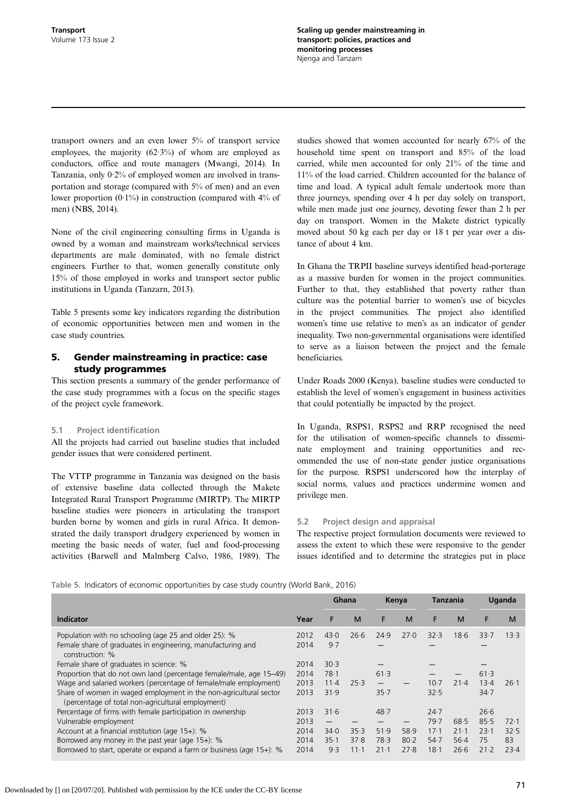Scaling up gender mainstreaming in transport: policies, practices and monitoring processes Njenga and Tanzarn

transport owners and an even lower 5% of transport service employees, the majority  $(62.3\%)$  of whom are employed as conductors, office and route managers ([Mwangi, 2014](#page-10-0)). In Tanzania, only 0·2% of employed women are involved in transportation and storage (compared with 5% of men) and an even lower proportion  $(0.1\%)$  in construction (compared with  $4\%$  of men) ([NBS, 2014\)](#page-10-0).

None of the civil engineering consulting firms in Uganda is owned by a woman and mainstream works/technical services departments are male dominated, with no female district engineers. Further to that, women generally constitute only 15% of those employed in works and transport sector public institutions in Uganda ([Tanzarn, 2013](#page-11-0)).

Table 5 presents some key indicators regarding the distribution of economic opportunities between men and women in the case study countries.

## 5. Gender mainstreaming in practice: case study programmes

This section presents a summary of the gender performance of the case study programmes with a focus on the specific stages of the project cycle framework.

#### 5.1 Project identification

All the projects had carried out baseline studies that included gender issues that were considered pertinent.

The VTTP programme in Tanzania was designed on the basis of extensive baseline data collected through the Makete Integrated Rural Transport Programme (MIRTP). The MIRTP baseline studies were pioneers in articulating the transport burden borne by women and girls in rural Africa. It demonstrated the daily transport drudgery experienced by women in meeting the basic needs of water, fuel and food-processing activities [\(Barwell and Malmberg Calvo, 1986](#page-10-0), [1989](#page-10-0)). The studies showed that women accounted for nearly 67% of the household time spent on transport and 85% of the load carried, while men accounted for only 21% of the time and 11% of the load carried. Children accounted for the balance of time and load. A typical adult female undertook more than three journeys, spending over 4 h per day solely on transport, while men made just one journey, devoting fewer than 2 h per day on transport. Women in the Makete district typically moved about 50 kg each per day or 18 t per year over a distance of about 4 km.

In Ghana the TRPII baseline surveys identified head-porterage as a massive burden for women in the project communities. Further to that, they established that poverty rather than culture was the potential barrier to women's use of bicycles in the project communities. The project also identified women's time use relative to men's as an indicator of gender inequality. Two non-governmental organisations were identified to serve as a liaison between the project and the female beneficiaries.

Under Roads 2000 (Kenya), baseline studies were conducted to establish the level of women's engagement in business activities that could potentially be impacted by the project.

In Uganda, RSPS1, RSPS2 and RRP recognised the need for the utilisation of women-specific channels to disseminate employment and training opportunities and recommended the use of non-state gender justice organisations for the purpose. RSPS1 underscored how the interplay of social norms, values and practices undermine women and privilege men.

#### 5.2 Project design and appraisal

The respective project formulation documents were reviewed to assess the extent to which these were responsive to the gender issues identified and to determine the strategies put in place

Table 5. Indicators of economic opportunities by case study country ([World Bank, 2016](#page-11-0))

|                                                                                                                                                                                    |                      | Ghana                  |                          | Kenya                    |                      | Tanzania             |                            |                      | Uganda             |
|------------------------------------------------------------------------------------------------------------------------------------------------------------------------------------|----------------------|------------------------|--------------------------|--------------------------|----------------------|----------------------|----------------------------|----------------------|--------------------|
| Indicator                                                                                                                                                                          | Year                 | F                      | M                        | F                        | M                    | F                    | M                          | F                    | M                  |
| Population with no schooling (age 25 and older 25): %<br>Female share of graduates in engineering, manufacturing and<br>construction: %                                            | 2012<br>2014         | 43.0<br>9.7            | 26.6                     | 24.9                     | 27.0                 | 32.3                 | 18.6                       | 33.7                 | 13.3               |
| Female share of graduates in science: %<br>Proportion that do not own land (percentage female/male, age 15–49)<br>Wage and salaried workers (percentage of female/male employment) | 2014<br>2014<br>2013 | 30.3<br>78.1<br>$11-4$ | 25.3                     | 61.3                     |                      | $10-7$               | 21.4                       | 61.3<br>13.4         | 26.1               |
| Share of women in waged employment in the non-agricultural sector<br>(percentage of total non-agricultural employment)                                                             | 2013                 | 31.9                   |                          | 35.7                     |                      | 32.5                 |                            | 34.7                 |                    |
| Percentage of firms with female participation in ownership<br>Vulnerable employment                                                                                                | 2013<br>2013         | 31.6                   |                          | 48.7                     |                      | 24.7<br>79.7         | 68.5                       | 26.6<br>85.5         | 72.1               |
| Account at a financial institution (age 15+): %<br>Borrowed any money in the past year (age $15+$ ): %<br>Borrowed to start, operate or expand a farm or business (age 15+): %     | 2014<br>2014<br>2014 | 34.0<br>35.1<br>9.3    | 35.3<br>37.8<br>$11 - 1$ | 51.9<br>78.3<br>$21 - 1$ | 58.9<br>80.2<br>27.8 | 17.1<br>54.7<br>18.1 | $21 - 1$<br>$56-4$<br>26.6 | 23.1<br>75<br>$21-2$ | 32.5<br>83<br>23.4 |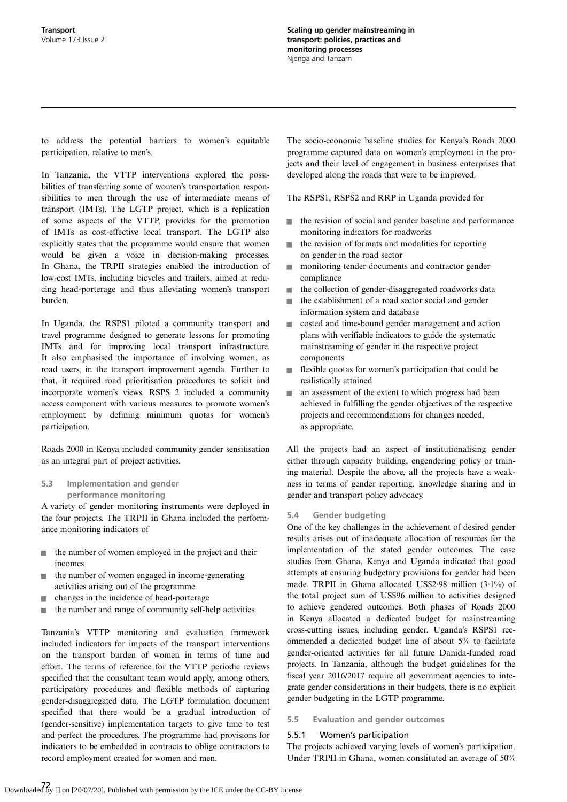to address the potential barriers to women's equitable participation, relative to men's.

In Tanzania, the VTTP interventions explored the possibilities of transferring some of women's transportation responsibilities to men through the use of intermediate means of transport (IMTs). The LGTP project, which is a replication of some aspects of the VTTP, provides for the promotion of IMTs as cost-effective local transport. The LGTP also explicitly states that the programme would ensure that women would be given a voice in decision-making processes. In Ghana, the TRPII strategies enabled the introduction of low-cost IMTs, including bicycles and trailers, aimed at reducing head-porterage and thus alleviating women's transport burden.

In Uganda, the RSPS1 piloted a community transport and travel programme designed to generate lessons for promoting IMTs and for improving local transport infrastructure. It also emphasised the importance of involving women, as road users, in the transport improvement agenda. Further to that, it required road prioritisation procedures to solicit and incorporate women's views. RSPS 2 included a community access component with various measures to promote women's employment by defining minimum quotas for women's participation.

Roads 2000 in Kenya included community gender sensitisation as an integral part of project activities.

## 5.3 Implementation and gender performance monitoring

A variety of gender monitoring instruments were deployed in the four projects. The TRPII in Ghana included the performance monitoring indicators of

- $\blacksquare$  the number of women employed in the project and their incomes
- $\blacksquare$  the number of women engaged in income-generating activities arising out of the programme
- $\blacksquare$  changes in the incidence of head-porterage
- the number and range of community self-help activities.

Tanzania's VTTP monitoring and evaluation framework included indicators for impacts of the transport interventions on the transport burden of women in terms of time and effort. The terms of reference for the VTTP periodic reviews specified that the consultant team would apply, among others, participatory procedures and flexible methods of capturing gender-disaggregated data. The LGTP formulation document specified that there would be a gradual introduction of (gender-sensitive) implementation targets to give time to test and perfect the procedures. The programme had provisions for indicators to be embedded in contracts to oblige contractors to record employment created for women and men.

The socio-economic baseline studies for Kenya's Roads 2000 programme captured data on women's employment in the projects and their level of engagement in business enterprises that developed along the roads that were to be improved.

The RSPS1, RSPS2 and RRP in Uganda provided for

- $\blacksquare$  the revision of social and gender baseline and performance monitoring indicators for roadworks
- $\blacksquare$  the revision of formats and modalities for reporting on gender in the road sector
- $\blacksquare$  monitoring tender documents and contractor gender compliance
- $\blacksquare$  the collection of gender-disaggregated roadworks data
- $\blacksquare$  the establishment of a road sector social and gender information system and database
- straight costed and time-bound gender management and action plans with verifiable indicators to guide the systematic mainstreaming of gender in the respective project components
- $\blacksquare$  flexible quotas for women's participation that could be realistically attained
- $\blacksquare$  an assessment of the extent to which progress had been achieved in fulfilling the gender objectives of the respective projects and recommendations for changes needed, as appropriate.

All the projects had an aspect of institutionalising gender either through capacity building, engendering policy or training material. Despite the above, all the projects have a weakness in terms of gender reporting, knowledge sharing and in gender and transport policy advocacy.

#### 5.4 Gender budgeting

One of the key challenges in the achievement of desired gender results arises out of inadequate allocation of resources for the implementation of the stated gender outcomes. The case studies from Ghana, Kenya and Uganda indicated that good attempts at ensuring budgetary provisions for gender had been made. TRPII in Ghana allocated US\$2·98 million (3·1%) of the total project sum of US\$96 million to activities designed to achieve gendered outcomes. Both phases of Roads 2000 in Kenya allocated a dedicated budget for mainstreaming cross-cutting issues, including gender. Uganda's RSPS1 recommended a dedicated budget line of about 5% to facilitate gender-oriented activities for all future Danida-funded road projects. In Tanzania, although the budget guidelines for the fiscal year 2016/2017 require all government agencies to integrate gender considerations in their budgets, there is no explicit gender budgeting in the LGTP programme.

#### 5.5 Evaluation and gender outcomes

#### 5.5.1 Women's participation

The projects achieved varying levels of women's participation. Under TRPII in Ghana, women constituted an average of 50%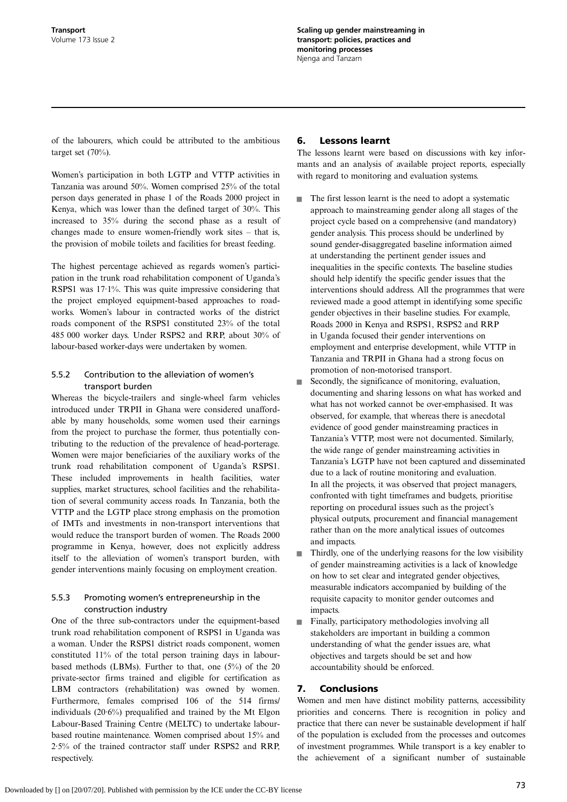of the labourers, which could be attributed to the ambitious target set (70%).

Women's participation in both LGTP and VTTP activities in Tanzania was around 50%. Women comprised 25% of the total person days generated in phase 1 of the Roads 2000 project in Kenya, which was lower than the defined target of 30%. This increased to 35% during the second phase as a result of changes made to ensure women-friendly work sites – that is, the provision of mobile toilets and facilities for breast feeding.

The highest percentage achieved as regards women's participation in the trunk road rehabilitation component of Uganda's RSPS1 was 17·1%. This was quite impressive considering that the project employed equipment-based approaches to roadworks. Women's labour in contracted works of the district roads component of the RSPS1 constituted 23% of the total 485 000 worker days. Under RSPS2 and RRP, about 30% of labour-based worker-days were undertaken by women.

## 5.5.2 Contribution to the alleviation of women's transport burden

Whereas the bicycle-trailers and single-wheel farm vehicles introduced under TRPII in Ghana were considered unaffordable by many households, some women used their earnings from the project to purchase the former, thus potentially contributing to the reduction of the prevalence of head-porterage. Women were major beneficiaries of the auxiliary works of the trunk road rehabilitation component of Uganda's RSPS1. These included improvements in health facilities, water supplies, market structures, school facilities and the rehabilitation of several community access roads. In Tanzania, both the VTTP and the LGTP place strong emphasis on the promotion of IMTs and investments in non-transport interventions that would reduce the transport burden of women. The Roads 2000 programme in Kenya, however, does not explicitly address itself to the alleviation of women's transport burden, with gender interventions mainly focusing on employment creation.

## 5.5.3 Promoting women's entrepreneurship in the construction industry

One of the three sub-contractors under the equipment-based trunk road rehabilitation component of RSPS1 in Uganda was a woman. Under the RSPS1 district roads component, women constituted 11% of the total person training days in labourbased methods (LBMs). Further to that, one (5%) of the 20 private-sector firms trained and eligible for certification as LBM contractors (rehabilitation) was owned by women. Furthermore, females comprised 106 of the 514 firms/ individuals (20·6%) prequalified and trained by the Mt Elgon Labour-Based Training Centre (MELTC) to undertake labourbased routine maintenance. Women comprised about 15% and 2·5% of the trained contractor staff under RSPS2 and RRP, respectively.

## 6. Lessons learnt

The lessons learnt were based on discussions with key informants and an analysis of available project reports, especially with regard to monitoring and evaluation systems.

- $\blacksquare$  The first lesson learnt is the need to adopt a systematic approach to mainstreaming gender along all stages of the project cycle based on a comprehensive (and mandatory) gender analysis. This process should be underlined by sound gender-disaggregated baseline information aimed at understanding the pertinent gender issues and inequalities in the specific contexts. The baseline studies should help identify the specific gender issues that the interventions should address. All the programmes that were reviewed made a good attempt in identifying some specific gender objectives in their baseline studies. For example, Roads 2000 in Kenya and RSPS1, RSPS2 and RRP in Uganda focused their gender interventions on employment and enterprise development, while VTTP in Tanzania and TRPII in Ghana had a strong focus on promotion of non-motorised transport.
- Secondly, the significance of monitoring, evaluation, documenting and sharing lessons on what has worked and what has not worked cannot be over-emphasised. It was observed, for example, that whereas there is anecdotal evidence of good gender mainstreaming practices in Tanzania's VTTP, most were not documented. Similarly, the wide range of gender mainstreaming activities in Tanzania's LGTP have not been captured and disseminated due to a lack of routine monitoring and evaluation. In all the projects, it was observed that project managers, confronted with tight timeframes and budgets, prioritise reporting on procedural issues such as the project's physical outputs, procurement and financial management rather than on the more analytical issues of outcomes and impacts.
- $\blacksquare$  Thirdly, one of the underlying reasons for the low visibility of gender mainstreaming activities is a lack of knowledge on how to set clear and integrated gender objectives, measurable indicators accompanied by building of the requisite capacity to monitor gender outcomes and impacts.
- $\blacksquare$  Finally, participatory methodologies involving all stakeholders are important in building a common understanding of what the gender issues are, what objectives and targets should be set and how accountability should be enforced.

## 7. Conclusions

Women and men have distinct mobility patterns, accessibility priorities and concerns. There is recognition in policy and practice that there can never be sustainable development if half of the population is excluded from the processes and outcomes of investment programmes. While transport is a key enabler to the achievement of a significant number of sustainable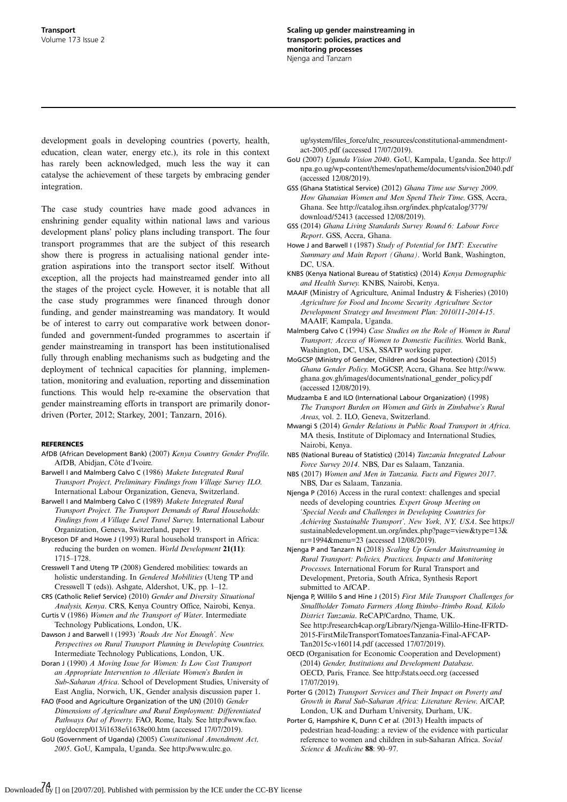<span id="page-10-0"></span>development goals in developing countries (poverty, health, education, clean water, energy etc.), its role in this context has rarely been acknowledged, much less the way it can catalyse the achievement of these targets by embracing gender integration.

The case study countries have made good advances in enshrining gender equality within national laws and various development plans' policy plans including transport. The four transport programmes that are the subject of this research show there is progress in actualising national gender integration aspirations into the transport sector itself. Without exception, all the projects had mainstreamed gender into all the stages of the project cycle. However, it is notable that all the case study programmes were financed through donor funding, and gender mainstreaming was mandatory. It would be of interest to carry out comparative work between donorfunded and government-funded programmes to ascertain if gender mainstreaming in transport has been institutionalised fully through enabling mechanisms such as budgeting and the deployment of technical capacities for planning, implementation, monitoring and evaluation, reporting and dissemination functions. This would help re-examine the observation that gender mainstreaming efforts in transport are primarily donordriven (Porter, 2012; [Starkey, 2001; Tanzarn, 2016](#page-11-0)).

#### REFERENCES

- AfDB (African Development Bank) (2007) Kenya Country Gender Profile. AfDB, Abidjan, Côte d'Ivoire.
- Barwell I and Malmberg Calvo C (1986) Makete Integrated Rural Transport Project, Preliminary Findings from Village Survey ILO. International Labour Organization, Geneva, Switzerland.
- Barwell I and Malmberg Calvo C (1989) Makete Integrated Rural Transport Project. The Transport Demands of Rural Households: Findings from A Village Level Travel Survey. International Labour Organization, Geneva, Switzerland, paper 19.
- Bryceson DF and Howe J (1993) Rural household transport in Africa: reducing the burden on women. World Development 21(11): 1715–1728.
- Cresswell T and Uteng TP (2008) Gendered mobilities: towards an holistic understanding. In Gendered Mobilities (Uteng TP and Cresswell T (eds)). Ashgate, Aldershot, UK, pp. 1–12.
- CRS (Catholic Relief Service) (2010) Gender and Diversity Situational Analysis, Kenya. CRS, Kenya Country Office, Nairobi, Kenya. Curtis V (1986) Women and the Transport of Water. Intermediate
- Technology Publications, London, UK. Dawson J and Barwell I (1993) 'Roads Are Not Enough'. New
- Perspectives on Rural Transport Planning in Developing Countries. Intermediate Technology Publications, London, UK. Doran J (1990) A Moving Issue for Women: Is Low Cost Transport
- an Appropriate Intervention to Alleviate Women's Burden in Sub-Saharan Africa. School of Development Studies, University of East Anglia, Norwich, UK, Gender analysis discussion paper 1.
- FAO (Food and Agriculture Organization of the UN) (2010) Gender Dimensions of Agriculture and Rural Employment: Differentiated Pathways Out of Poverty. FAO, Rome, Italy. See [http://www.fao.](http://www.fao.org/docrep/013/i1638e/i1638e00.htm) [org/docrep/013/i1638e/i1638e00.htm](http://www.fao.org/docrep/013/i1638e/i1638e00.htm) (accessed 17/07/2019).
- GoU (Government of Uganda) (2005) Constitutional Amendment Act, 2005. GoU, Kampala, Uganda. See [http://www.ulrc.go.](http://www.ulrc.go.ug/system/files_force/ulrc_resources/constitutional-ammendment-act-2005.pdf)

[ug/system/files\\_force/ulrc\\_resources/constitutional-ammendment](http://www.ulrc.go.ug/system/files_force/ulrc_resources/constitutional-ammendment-act-2005.pdf)[act-2005.pdf](http://www.ulrc.go.ug/system/files_force/ulrc_resources/constitutional-ammendment-act-2005.pdf) (accessed 17/07/2019).

- GoU (2007) Uganda Vision 2040. GoU, Kampala, Uganda. See [http://](http://npa.go.ug/wp-content/themes/npatheme/documents/vision2040.pdf) [npa.go.ug/wp-content/themes/npatheme/documents/vision2040.pdf](http://npa.go.ug/wp-content/themes/npatheme/documents/vision2040.pdf) (accessed 12/08/2019).
- GSS (Ghana Statistical Service) (2012) Ghana Time use Survey 2009. How Ghanaian Women and Men Spend Their Time. GSS, Accra, Ghana. See [http://catalog.ihsn.org/index.php/catalog/3779/](http://catalog.ihsn.org/index.php/catalog/3779/download/52413) [download/52413](http://catalog.ihsn.org/index.php/catalog/3779/download/52413) (accessed 12/08/2019).
- GSS (2014) Ghana Living Standards Survey Round 6: Labour Force Report. GSS, Accra, Ghana.
- Howe J and Barwell I (1987) Study of Potential for IMT: Executive Summary and Main Report (Ghana). World Bank, Washington, DC, USA.
- KNBS (Kenya National Bureau of Statistics) (2014) Kenya Demographic and Health Survey. KNBS, Nairobi, Kenya.
- MAAIF (Ministry of Agriculture, Animal Industry & Fisheries) (2010) Agriculture for Food and Income Security Agriculture Sector Development Strategy and Investment Plan: 2010/11-2014-15. MAAIF, Kampala, Uganda.
- Malmberg Calvo C (1994) Case Studies on the Role of Women in Rural Transport; Access of Women to Domestic Facilities. World Bank, Washington, DC, USA, SSATP working paper.
- MoGCSP (Ministry of Gender, Children and Social Protection) (2015) Ghana Gender Policy. MoGCSP, Accra, Ghana. See [http://www.](http://www.ghana.gov.gh/images/documents/national_gender_policy.pdf) [ghana.gov.gh/images/documents/national\\_gender\\_policy.pdf](http://www.ghana.gov.gh/images/documents/national_gender_policy.pdf) (accessed 12/08/2019).
- Mudzamba E and ILO (International Labour Organization) (1998) The Transport Burden on Women and Girls in Zimbabwe's Rural Areas, vol. 2. ILO, Geneva, Switzerland.
- Mwangi S (2014) Gender Relations in Public Road Transport in Africa. MA thesis, Institute of Diplomacy and International Studies, Nairobi, Kenya.
- NBS (National Bureau of Statistics) (2014) Tanzania Integrated Labour Force Survey 2014. NBS, Dar es Salaam, Tanzania.
- NBS (2017) Women and Men in Tanzania. Facts and Figures 2017. NBS, Dar es Salaam, Tanzania.
- Njenga P (2016) Access in the rural context: challenges and special needs of developing countries. Expert Group Meeting on 'Special Needs and Challenges in Developing Countries for Achieving Sustainable Transport', New York, NY, USA. See [https://](https://sustainabledevelopment.un.org/index.php?page=view&type=13&nr=1994&menu=23) [sustainabledevelopment.un.org/index.php?page=view&type=13&](https://sustainabledevelopment.un.org/index.php?page=view&type=13&nr=1994&menu=23) [nr=1994&menu=23](https://sustainabledevelopment.un.org/index.php?page=view&type=13&nr=1994&menu=23) (accessed 12/08/2019).
- Njenga P and Tanzarn N (2018) Scaling Up Gender Mainstreaming in Rural Transport: Policies, Practices, Impacts and Monitoring Processes. International Forum for Rural Transport and Development, Pretoria, South Africa, Synthesis Report submitted to AfCAP.
- Njenga P, Willilo S and Hine J (2015) First Mile Transport Challenges for Smallholder Tomato Farmers Along Ihimbo–Itimbo Road, Kilolo District Tanzania. ReCAP/Cardno, Thame, UK. See [http://research4cap.org/Library/Njenga-Willilo-Hine-IFRTD-](http://research4cap.org/Library/Njenga-Willilo-Hine-IFRTD-2015-FirstMileTransportTomatoesTanzania-Final-AFCAP-Tan2015c-v160114.pdf)[2015-FirstMileTransportTomatoesTanzania-Final-AFCAP-](http://research4cap.org/Library/Njenga-Willilo-Hine-IFRTD-2015-FirstMileTransportTomatoesTanzania-Final-AFCAP-Tan2015c-v160114.pdf)[Tan2015c-v160114.pdf](http://research4cap.org/Library/Njenga-Willilo-Hine-IFRTD-2015-FirstMileTransportTomatoesTanzania-Final-AFCAP-Tan2015c-v160114.pdf) (accessed 17/07/2019).
- OECD (Organisation for Economic Cooperation and Development) (2014) Gender, Institutions and Development Database. OECD, Paris, France. See<http://stats.oecd.org> (accessed 17/07/2019).
- Porter G (2012) Transport Services and Their Impact on Poverty and Growth in Rural Sub-Saharan Africa: Literature Review. AfCAP, London, UK and Durham University, Durham, UK.
- Porter G, Hampshire K, Dunn C et al. (2013) Health impacts of pedestrian head-loading: a review of the evidence with particular reference to women and children in sub-Saharan Africa. Social Science & Medicine 88: 90–97.